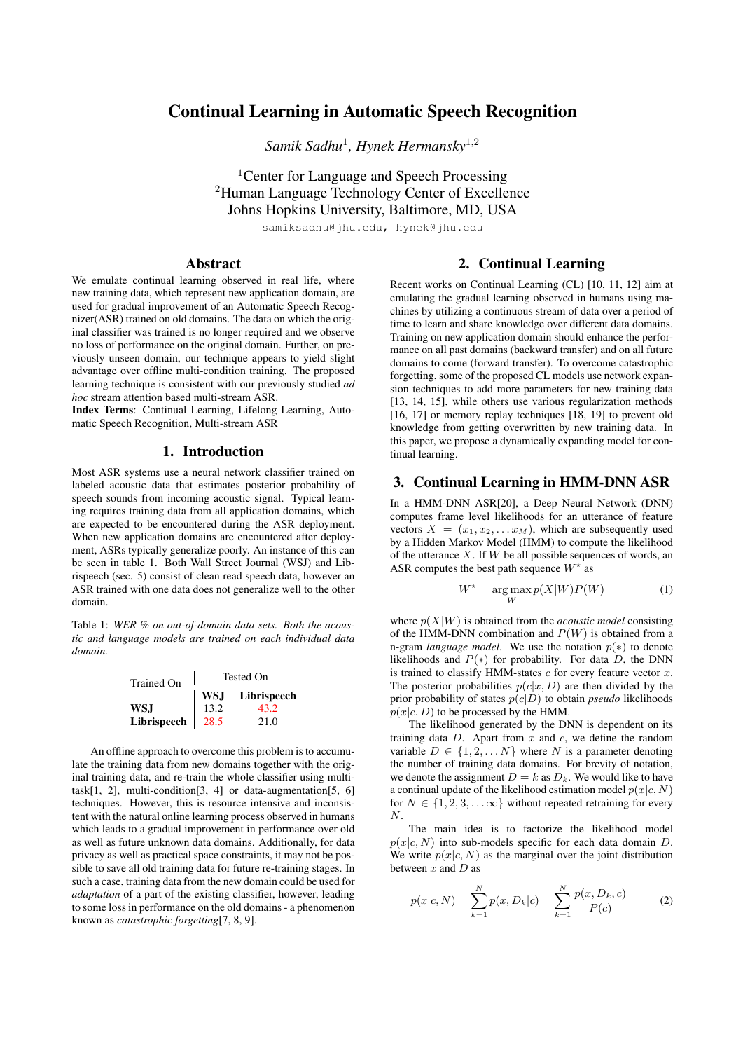# Continual Learning in Automatic Speech Recognition

*Samik Sadhu*<sup>1</sup> *, Hynek Hermansky*<sup>1</sup>,<sup>2</sup>

<sup>1</sup>Center for Language and Speech Processing <sup>2</sup>Human Language Technology Center of Excellence Johns Hopkins University, Baltimore, MD, USA

samiksadhu@jhu.edu, hynek@jhu.edu

### Abstract

We emulate continual learning observed in real life, where new training data, which represent new application domain, are used for gradual improvement of an Automatic Speech Recognizer(ASR) trained on old domains. The data on which the original classifier was trained is no longer required and we observe no loss of performance on the original domain. Further, on previously unseen domain, our technique appears to yield slight advantage over offline multi-condition training. The proposed learning technique is consistent with our previously studied *ad hoc* stream attention based multi-stream ASR.

Index Terms: Continual Learning, Lifelong Learning, Automatic Speech Recognition, Multi-stream ASR

## 1. Introduction

Most ASR systems use a neural network classifier trained on labeled acoustic data that estimates posterior probability of speech sounds from incoming acoustic signal. Typical learning requires training data from all application domains, which are expected to be encountered during the ASR deployment. When new application domains are encountered after deployment, ASRs typically generalize poorly. An instance of this can be seen in table 1. Both Wall Street Journal (WSJ) and Librispeech (sec. 5) consist of clean read speech data, however an ASR trained with one data does not generalize well to the other domain.

Table 1: *WER % on out-of-domain data sets. Both the acoustic and language models are trained on each individual data domain.*

| Trained On  | Tested On |             |  |  |  |
|-------------|-----------|-------------|--|--|--|
|             | WS.J      | Librispeech |  |  |  |
| WS.I        | 13.2      | 43.2        |  |  |  |
| Librispeech | 28.5      | 21.0        |  |  |  |

An offline approach to overcome this problem is to accumulate the training data from new domains together with the original training data, and re-train the whole classifier using multitask[1, 2], multi-condition[3, 4] or data-augmentation[5, 6] techniques. However, this is resource intensive and inconsistent with the natural online learning process observed in humans which leads to a gradual improvement in performance over old as well as future unknown data domains. Additionally, for data privacy as well as practical space constraints, it may not be possible to save all old training data for future re-training stages. In such a case, training data from the new domain could be used for *adaptation* of a part of the existing classifier, however, leading to some loss in performance on the old domains - a phenomenon known as *catastrophic forgetting*[7, 8, 9].

## 2. Continual Learning

Recent works on Continual Learning (CL) [10, 11, 12] aim at emulating the gradual learning observed in humans using machines by utilizing a continuous stream of data over a period of time to learn and share knowledge over different data domains. Training on new application domain should enhance the performance on all past domains (backward transfer) and on all future domains to come (forward transfer). To overcome catastrophic forgetting, some of the proposed CL models use network expansion techniques to add more parameters for new training data [13, 14, 15], while others use various regularization methods [16, 17] or memory replay techniques [18, 19] to prevent old knowledge from getting overwritten by new training data. In this paper, we propose a dynamically expanding model for continual learning.

## 3. Continual Learning in HMM-DNN ASR

In a HMM-DNN ASR[20], a Deep Neural Network (DNN) computes frame level likelihoods for an utterance of feature vectors  $X = (x_1, x_2, \dots x_M)$ , which are subsequently used by a Hidden Markov Model (HMM) to compute the likelihood of the utterance  $X$ . If  $W$  be all possible sequences of words, an ASR computes the best path sequence  $W^*$  as

$$
W^* = \underset{W}{\text{arg}\max} p(X|W)P(W) \tag{1}
$$

where  $p(X|W)$  is obtained from the *acoustic model* consisting of the HMM-DNN combination and  $P(W)$  is obtained from a n-gram *language model*. We use the notation  $p(*)$  to denote likelihoods and  $P(*)$  for probability. For data D, the DNN is trained to classify HMM-states  $c$  for every feature vector  $x$ . The posterior probabilities  $p(c|x, D)$  are then divided by the prior probability of states  $p(c|D)$  to obtain *pseudo* likelihoods  $p(x|c, D)$  to be processed by the HMM.

The likelihood generated by the DNN is dependent on its training data  $D$ . Apart from  $x$  and  $c$ , we define the random variable  $D \in \{1, 2, \dots N\}$  where N is a parameter denoting the number of training data domains. For brevity of notation, we denote the assignment  $D = k$  as  $D_k$ . We would like to have a continual update of the likelihood estimation model  $p(x|c, N)$ for  $N \in \{1, 2, 3, \ldots \infty\}$  without repeated retraining for every  $N$ 

The main idea is to factorize the likelihood model  $p(x|c, N)$  into sub-models specific for each data domain D. We write  $p(x|c, N)$  as the marginal over the joint distribution between  $x$  and  $D$  as

$$
p(x|c, N) = \sum_{k=1}^{N} p(x, D_k|c) = \sum_{k=1}^{N} \frac{p(x, D_k, c)}{P(c)}
$$
(2)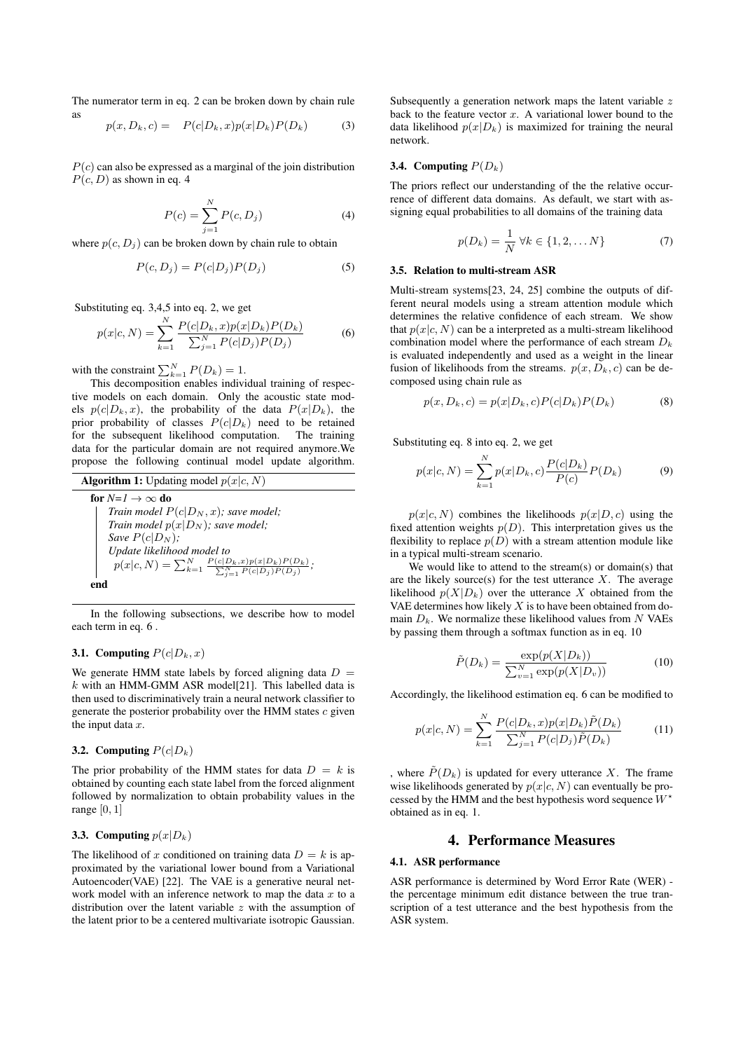The numerator term in eq. 2 can be broken down by chain rule as

$$
p(x, D_k, c) = P(c|D_k, x)p(x|D_k)P(D_k)
$$
\n(3)

 $P(c)$  can also be expressed as a marginal of the join distribution  $P(c, D)$  as shown in eq. 4

$$
P(c) = \sum_{j=1}^{N} P(c, D_j)
$$
 (4)

where  $p(c, D<sub>j</sub>)$  can be broken down by chain rule to obtain

$$
P(c, D_j) = P(c|D_j)P(D_j)
$$
\n(5)

Substituting eq. 3,4,5 into eq. 2, we get

$$
p(x|c,N) = \sum_{k=1}^{N} \frac{P(c|D_k, x)p(x|D_k)P(D_k)}{\sum_{j=1}^{N} P(c|D_j)P(D_j)}
$$
(6)

with the constraint  $\sum_{k=1}^{N} P(D_k) = 1$ .

This decomposition enables individual training of respective models on each domain. Only the acoustic state models  $p(c|D_k, x)$ , the probability of the data  $P(x|D_k)$ , the prior probability of classes  $P(c|D_k)$  need to be retained for the subsequent likelihood computation. The training data for the particular domain are not required anymore.We propose the following continual model update algorithm.

**Algorithm 1:** Upddting model 
$$
p(x|c, N)
$$
  
\n**for**  $N=1 \rightarrow \infty$  **do**  
\nTrain model  $P(c|D_N, x)$ ; save model;  
\nTrain model  $p(x|D_N)$ ; save model;  
\nSave  $P(c|D_N)$ ;  
\nUpdate likelihood model to  
\n $p(x|c, N) = \sum_{k=1}^{N} \frac{P(c|D_k, x)p(x|D_k)P(D_k)}{\sum_{j=1}^{N} P(c|D_j)P(D_j)}$ ;  
\n**end**

In the following subsections, we describe how to model each term in eq. 6 .

#### **3.1.** Computing  $P(c|D_k, x)$

We generate HMM state labels by forced aligning data  $D =$  $k$  with an HMM-GMM ASR model[21]. This labelled data is then used to discriminatively train a neural network classifier to generate the posterior probability over the HMM states  $c$  given the input data  $x$ .

## 3.2. Computing  $P(c|D_k)$

The prior probability of the HMM states for data  $D = k$  is obtained by counting each state label from the forced alignment followed by normalization to obtain probability values in the range  $[0, 1]$ 

### 3.3. Computing  $p(x|D_k)$

The likelihood of x conditioned on training data  $D = k$  is approximated by the variational lower bound from a Variational Autoencoder(VAE) [22]. The VAE is a generative neural network model with an inference network to map the data  $x$  to a distribution over the latent variable  $z$  with the assumption of the latent prior to be a centered multivariate isotropic Gaussian. Subsequently a generation network maps the latent variable z back to the feature vector  $x$ . A variational lower bound to the data likelihood  $p(x|D_k)$  is maximized for training the neural network.

#### 3.4. Computing  $P(D_k)$

The priors reflect our understanding of the the relative occurrence of different data domains. As default, we start with assigning equal probabilities to all domains of the training data

$$
p(D_k) = \frac{1}{N} \,\forall k \in \{1, 2, \dots N\}
$$
 (7)

### 3.5. Relation to multi-stream ASR

Multi-stream systems[23, 24, 25] combine the outputs of different neural models using a stream attention module which determines the relative confidence of each stream. We show that  $p(x|c, N)$  can be a interpreted as a multi-stream likelihood combination model where the performance of each stream  $D_k$ is evaluated independently and used as a weight in the linear fusion of likelihoods from the streams.  $p(x, D_k, c)$  can be decomposed using chain rule as

$$
p(x, D_k, c) = p(x|D_k, c)P(c|D_k)P(D_k)
$$
\n(8)

Substituting eq. 8 into eq. 2, we get

$$
p(x|c, N) = \sum_{k=1}^{N} p(x|D_k, c) \frac{P(c|D_k)}{P(c)} P(D_k)
$$
(9)

 $p(x|c, N)$  combines the likelihoods  $p(x|D, c)$  using the fixed attention weights  $p(D)$ . This interpretation gives us the flexibility to replace  $p(D)$  with a stream attention module like in a typical multi-stream scenario.

We would like to attend to the stream(s) or domain(s) that are the likely source(s) for the test utterance  $X$ . The average likelihood  $p(X|D_k)$  over the utterance X obtained from the VAE determines how likely  $X$  is to have been obtained from domain  $D_k$ . We normalize these likelihood values from N VAEs by passing them through a softmax function as in eq. 10

$$
\tilde{P}(D_k) = \frac{\exp(p(X|D_k))}{\sum_{v=1}^{N} \exp(p(X|D_v))}
$$
\n(10)

Accordingly, the likelihood estimation eq. 6 can be modified to

$$
p(x|c,N) = \sum_{k=1}^{N} \frac{P(c|D_k, x)p(x|D_k)\tilde{P}(D_k)}{\sum_{j=1}^{N} P(c|D_j)\tilde{P}(D_k)}
$$
(11)

, where  $\tilde{P}(D_k)$  is updated for every utterance X. The frame wise likelihoods generated by  $p(x|c, N)$  can eventually be processed by the HMM and the best hypothesis word sequence  $W^*$ obtained as in eq. 1.

## 4. Performance Measures

#### 4.1. ASR performance

ASR performance is determined by Word Error Rate (WER) the percentage minimum edit distance between the true transcription of a test utterance and the best hypothesis from the ASR system.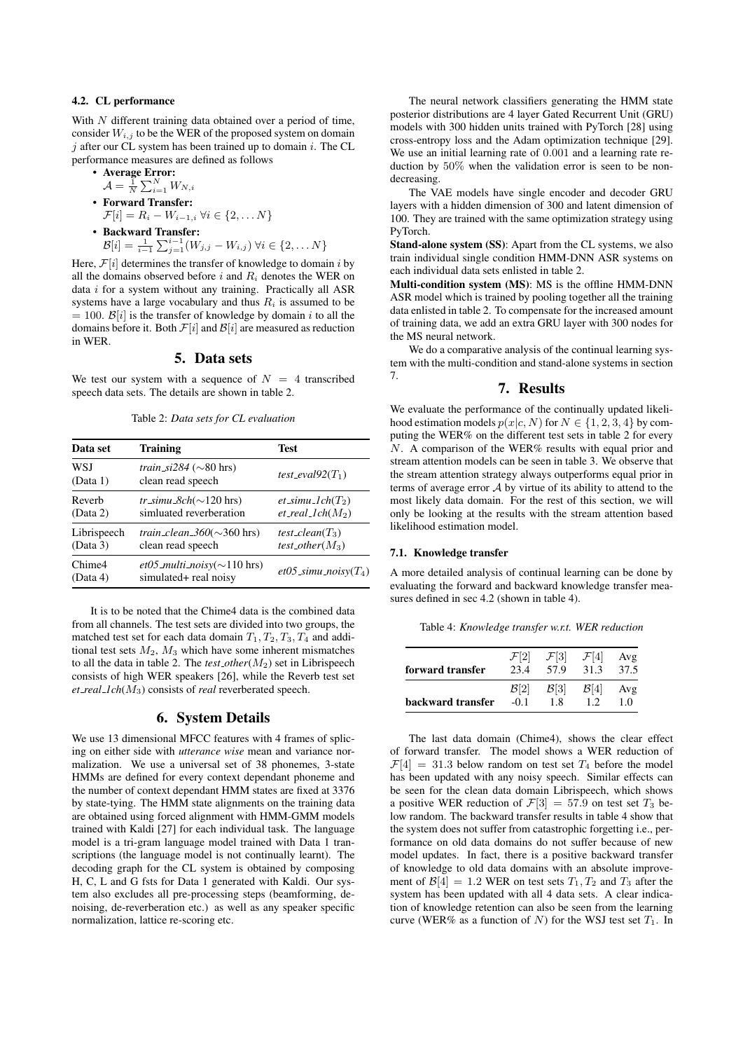## 4.2. CL performance

With  $N$  different training data obtained over a period of time, consider  $W_{i,j}$  to be the WER of the proposed system on domain  $j$  after our CL system has been trained up to domain  $i$ . The CL performance measures are defined as follows

• Average Error: 
$$
A = \frac{1}{N} \sum_{i=1}^{N} W_{i}
$$

$$
\mathcal{A} = \frac{1}{N} \sum_{i=1}^{N} W_{N,i}
$$

- Forward Transfer:  $\mathcal{F}[i] = R_i - W_{i-1,i} \ \forall i \in \{2, \dots N\}$
- Backward Transfer:  $\mathcal{B}[i] = \frac{1}{i-1} \sum_{j=1}^{i-1} (W_{j,j} - W_{i,j}) \ \forall i \in \{2, \dots N\}$

Here,  $\mathcal{F}[i]$  determines the transfer of knowledge to domain i by all the domains observed before  $i$  and  $R_i$  denotes the WER on data  $i$  for a system without any training. Practically all ASR systems have a large vocabulary and thus  $R_i$  is assumed to be  $= 100.$  B[i] is the transfer of knowledge by domain i to all the domains before it. Both  $\mathcal{F}[i]$  and  $\mathcal{B}[i]$  are measured as reduction in WER.

## 5. Data sets

We test our system with a sequence of  $N = 4$  transcribed speech data sets. The details are shown in table 2.

Table 2: *Data sets for CL evaluation*

| Data set                | <b>Training</b>                                                    | <b>Test</b>                                  |  |  |
|-------------------------|--------------------------------------------------------------------|----------------------------------------------|--|--|
| WSJ<br>(Data 1)         | <i>train_si284</i> ( $\sim$ 80 hrs)<br>clean read speech           | test_eval $92(T_1)$                          |  |  |
| Reverb<br>(Data 2)      | tr_simu_8ch( $\sim$ 120 hrs)<br>simluated reverberation            | $et\_simu\_lch(T_2)$<br>$et\_real\_lch(M_2)$ |  |  |
| Librispeech<br>(Data 3) | <i>train_clean_360</i> ( $\sim$ 360 hrs)<br>clean read speech      | test_clean( $T_3$ )<br>test_other( $M_3$ )   |  |  |
| Chime4<br>(Data 4)      | <i>et05_multi_noisy</i> ( $\sim$ 110 hrs)<br>simulated+ real noisy | et05_simu_noisy $(T_4)$                      |  |  |

It is to be noted that the Chime4 data is the combined data from all channels. The test sets are divided into two groups, the matched test set for each data domain  $T_1, T_2, T_3, T_4$  and additional test sets  $M_2$ ,  $M_3$  which have some inherent mismatches to all the data in table 2. The *test other*(M2) set in Librispeech consists of high WER speakers [26], while the Reverb test set *et real 1ch*(M3) consists of *real* reverberated speech.

## 6. System Details

We use 13 dimensional MFCC features with 4 frames of splicing on either side with *utterance wise* mean and variance normalization. We use a universal set of 38 phonemes, 3-state HMMs are defined for every context dependant phoneme and the number of context dependant HMM states are fixed at 3376 by state-tying. The HMM state alignments on the training data are obtained using forced alignment with HMM-GMM models trained with Kaldi [27] for each individual task. The language model is a tri-gram language model trained with Data 1 transcriptions (the language model is not continually learnt). The decoding graph for the CL system is obtained by composing H, C, L and G fsts for Data 1 generated with Kaldi. Our system also excludes all pre-processing steps (beamforming, denoising, de-reverberation etc.) as well as any speaker specific normalization, lattice re-scoring etc.

The neural network classifiers generating the HMM state posterior distributions are 4 layer Gated Recurrent Unit (GRU) models with 300 hidden units trained with PyTorch [28] using cross-entropy loss and the Adam optimization technique [29]. We use an initial learning rate of 0.001 and a learning rate reduction by 50% when the validation error is seen to be nondecreasing.

The VAE models have single encoder and decoder GRU layers with a hidden dimension of 300 and latent dimension of 100. They are trained with the same optimization strategy using PyTorch.

Stand-alone system (SS): Apart from the CL systems, we also train individual single condition HMM-DNN ASR systems on each individual data sets enlisted in table 2.

Multi-condition system (MS): MS is the offline HMM-DNN ASR model which is trained by pooling together all the training data enlisted in table 2. To compensate for the increased amount of training data, we add an extra GRU layer with 300 nodes for the MS neural network.

We do a comparative analysis of the continual learning system with the multi-condition and stand-alone systems in section 7.

## 7. Results

We evaluate the performance of the continually updated likelihood estimation models  $p(x|c, N)$  for  $N \in \{1, 2, 3, 4\}$  by computing the WER% on the different test sets in table 2 for every  $N$ . A comparison of the WER% results with equal prior and stream attention models can be seen in table 3. We observe that the stream attention strategy always outperforms equal prior in terms of average error  $A$  by virtue of its ability to attend to the most likely data domain. For the rest of this section, we will only be looking at the results with the stream attention based likelihood estimation model.

### 7.1. Knowledge transfer

A more detailed analysis of continual learning can be done by evaluating the forward and backward knowledge transfer measures defined in sec 4.2 (shown in table 4).

Table 4: *Knowledge transfer w.r.t. WER reduction*

| forward transfer  | ${\cal F}[2]$    | $\mathcal{F}[3]$ | $\mathcal{F}[4]$ | Avg  |
|-------------------|------------------|------------------|------------------|------|
|                   | 23.4             | 57.9             | 31.3             | 37.5 |
| backward transfer | $\mathcal{B}[2]$ | $\mathcal{B}[3]$ | $\mathcal{B}[4]$ | Avg  |
|                   | $-0.1$           | 18               | 12               | 10   |

The last data domain (Chime4), shows the clear effect of forward transfer. The model shows a WER reduction of  $\mathcal{F}[4] = 31.3$  below random on test set  $T_4$  before the model has been updated with any noisy speech. Similar effects can be seen for the clean data domain Librispeech, which shows a positive WER reduction of  $\mathcal{F}[3] = 57.9$  on test set  $T_3$  below random. The backward transfer results in table 4 show that the system does not suffer from catastrophic forgetting i.e., performance on old data domains do not suffer because of new model updates. In fact, there is a positive backward transfer of knowledge to old data domains with an absolute improvement of  $\mathcal{B}[4] = 1.2$  WER on test sets  $T_1, T_2$  and  $T_3$  after the system has been updated with all 4 data sets. A clear indication of knowledge retention can also be seen from the learning curve (WER% as a function of N) for the WSJ test set  $T_1$ . In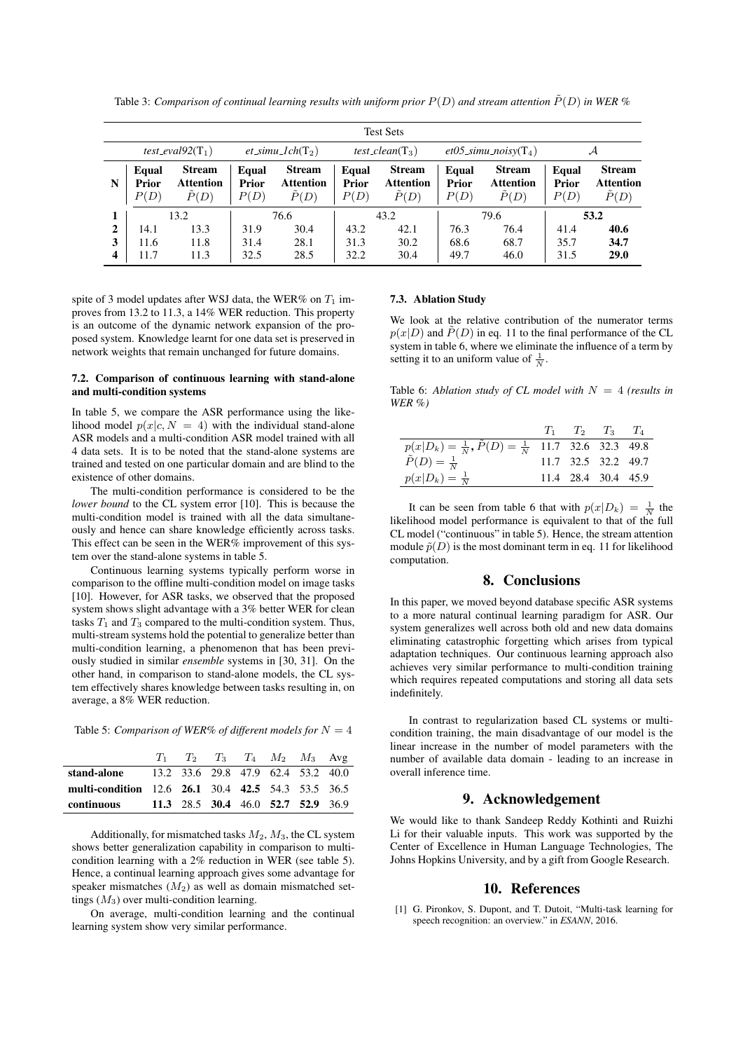Table 3: *Comparison of continual learning results with uniform prior*  $P(D)$  *and stream attention*  $\tilde{P}(D)$  *in WER %* 

| <b>Test Sets</b> |                        |                                    |                        |                                              |                               |                                                     |                                        |                                                     |                               |                                                     |
|------------------|------------------------|------------------------------------|------------------------|----------------------------------------------|-------------------------------|-----------------------------------------------------|----------------------------------------|-----------------------------------------------------|-------------------------------|-----------------------------------------------------|
|                  | test_eval $92(T_1)$    |                                    | $et\_simu\_lch(T_2)$   |                                              | test_clean( $T_3$ )           |                                                     | $et05\_\text{simu}\_\text{noisy}(T_4)$ |                                                     | $\mathcal A$                  |                                                     |
| N                | Equal<br>Prior<br>P(D) | <b>Stream</b><br>Attention<br>P(D) | Equal<br>Prior<br>P(D) | <b>Stream</b><br>Attention<br>$\tilde{P}(D)$ | Equal<br><b>Prior</b><br>P(D) | <b>Stream</b><br><b>Attention</b><br>$\tilde{P}(D)$ | Equal<br>Prior<br>P(D)                 | <b>Stream</b><br><b>Attention</b><br>$\tilde{P}(D)$ | Equal<br><b>Prior</b><br>P(D) | <b>Stream</b><br><b>Attention</b><br>$\tilde{P}(D)$ |
|                  |                        | 13.2                               |                        | 76.6                                         |                               | 43.2                                                |                                        | 79.6                                                |                               | 53.2                                                |
| $\mathbf{2}$     | 14.1                   | 13.3                               | 31.9                   | 30.4                                         | 43.2                          | 42.1                                                | 76.3                                   | 76.4                                                | 41.4                          | 40.6                                                |
| 3                | 11.6                   | 11.8                               | 31.4                   | 28.1                                         | 31.3                          | 30.2                                                | 68.6                                   | 68.7                                                | 35.7                          | 34.7                                                |
| 4                | 11.7                   | 11.3                               | 32.5                   | 28.5                                         | 32.2                          | 30.4                                                | 49.7                                   | 46.0                                                | 31.5                          | 29.0                                                |

spite of 3 model updates after WSJ data, the WER% on  $T_1$  improves from 13.2 to 11.3, a 14% WER reduction. This property is an outcome of the dynamic network expansion of the proposed system. Knowledge learnt for one data set is preserved in network weights that remain unchanged for future domains.

### 7.2. Comparison of continuous learning with stand-alone and multi-condition systems

In table 5, we compare the ASR performance using the likelihood model  $p(x|c, N = 4)$  with the individual stand-alone ASR models and a multi-condition ASR model trained with all 4 data sets. It is to be noted that the stand-alone systems are trained and tested on one particular domain and are blind to the existence of other domains.

The multi-condition performance is considered to be the *lower bound* to the CL system error [10]. This is because the multi-condition model is trained with all the data simultaneously and hence can share knowledge efficiently across tasks. This effect can be seen in the WER $%$  improvement of this system over the stand-alone systems in table 5.

Continuous learning systems typically perform worse in comparison to the offline multi-condition model on image tasks [10]. However, for ASR tasks, we observed that the proposed system shows slight advantage with a 3% better WER for clean tasks  $T_1$  and  $T_3$  compared to the multi-condition system. Thus, multi-stream systems hold the potential to generalize better than multi-condition learning, a phenomenon that has been previously studied in similar *ensemble* systems in [30, 31]. On the other hand, in comparison to stand-alone models, the CL system effectively shares knowledge between tasks resulting in, on average, a 8% WER reduction.

Table 5: *Comparison of WER% of different models for*  $N = 4$ 

|                                                       |  |  | $T_1$ $T_2$ $T_3$ $T_4$ $M_2$ $M_3$ Avg |  |
|-------------------------------------------------------|--|--|-----------------------------------------|--|
| <b>stand-alone</b> 13.2 33.6 29.8 47.9 62.4 53.2 40.0 |  |  |                                         |  |
| multi-condition 12.6 26.1 30.4 42.5 54.3 53.5 36.5    |  |  |                                         |  |
| continuous 11.3 28.5 30.4 46.0 52.7 52.9 36.9         |  |  |                                         |  |

Additionally, for mismatched tasks  $M_2$ ,  $M_3$ , the CL system shows better generalization capability in comparison to multicondition learning with a 2% reduction in WER (see table 5). Hence, a continual learning approach gives some advantage for speaker mismatches  $(M_2)$  as well as domain mismatched settings  $(M_3)$  over multi-condition learning.

On average, multi-condition learning and the continual learning system show very similar performance.

#### 7.3. Ablation Study

We look at the relative contribution of the numerator terms  $p(x|D)$  and  $\tilde{P}(D)$  in eq. 11 to the final performance of the CL system in table 6, where we eliminate the influence of a term by setting it to an uniform value of  $\frac{1}{N}$ .

Table 6: *Ablation study of CL model with* N = 4 *(results in WER %)*

|                                                                          | $T_1$ $T_2$ $T_3$ $T_4$ |  |
|--------------------------------------------------------------------------|-------------------------|--|
| $p(x D_k) = \frac{1}{N}, \tilde{P}(D) = \frac{1}{N}$ 11.7 32.6 32.3 49.8 |                         |  |
| $\tilde{P}(D) = \frac{1}{N}$                                             | 11.7 32.5 32.2 49.7     |  |
| $p(x D_k) = \frac{1}{N}$                                                 | 11.4 28.4 30.4 45.9     |  |

It can be seen from table 6 that with  $p(x|D_k) = \frac{1}{N}$  the likelihood model performance is equivalent to that of the full CL model ("continuous" in table 5). Hence, the stream attention module  $\tilde{p}(D)$  is the most dominant term in eq. 11 for likelihood computation.

### 8. Conclusions

In this paper, we moved beyond database specific ASR systems to a more natural continual learning paradigm for ASR. Our system generalizes well across both old and new data domains eliminating catastrophic forgetting which arises from typical adaptation techniques. Our continuous learning approach also achieves very similar performance to multi-condition training which requires repeated computations and storing all data sets indefinitely.

In contrast to regularization based CL systems or multicondition training, the main disadvantage of our model is the linear increase in the number of model parameters with the number of available data domain - leading to an increase in overall inference time.

## 9. Acknowledgement

We would like to thank Sandeep Reddy Kothinti and Ruizhi Li for their valuable inputs. This work was supported by the Center of Excellence in Human Language Technologies, The Johns Hopkins University, and by a gift from Google Research.

### 10. References

[1] G. Pironkov, S. Dupont, and T. Dutoit, "Multi-task learning for speech recognition: an overview." in *ESANN*, 2016.